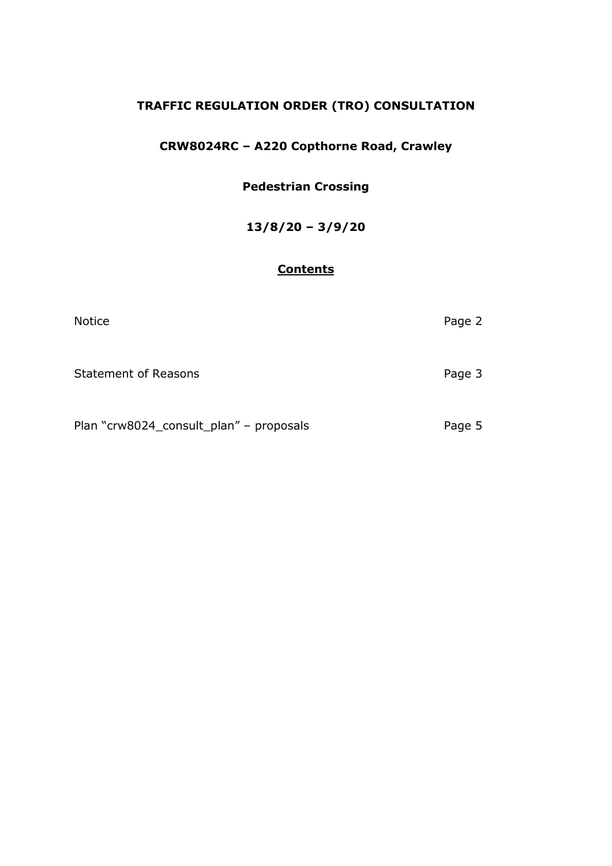## **TRAFFIC REGULATION ORDER (TRO) CONSULTATION**

# **CRW8024RC – A220 Copthorne Road, Crawley**

## **Pedestrian Crossing**

## **13/8/20 – 3/9/20**

## **Contents**

| <b>Notice</b>                           | Page 2 |
|-----------------------------------------|--------|
| <b>Statement of Reasons</b>             | Page 3 |
| Plan "crw8024_consult_plan" - proposals | Page 5 |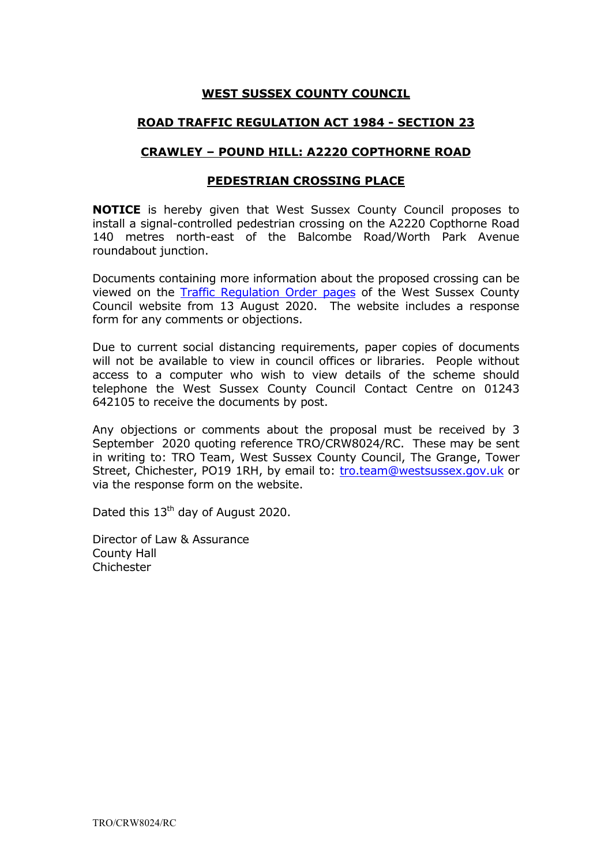### **WEST SUSSEX COUNTY COUNCIL**

#### **ROAD TRAFFIC REGULATION ACT 1984 - SECTION 23**

#### **CRAWLEY – POUND HILL: A2220 COPTHORNE ROAD**

#### **PEDESTRIAN CROSSING PLACE**

**NOTICE** is hereby given that West Sussex County Council proposes to install a signal-controlled pedestrian crossing on the A2220 Copthorne Road 140 metres north-east of the Balcombe Road/Worth Park Avenue roundabout junction.

Documents containing more information about the proposed crossing can be viewed on the [Traffic Regulation Order](https://www.westsussex.gov.uk/roads-and-travel/traffic-regulation-orders/) pages of the West Sussex County Council website from 13 August 2020. The website includes a response form for any comments or objections.

Due to current social distancing requirements, paper copies of documents will not be available to view in council offices or libraries. People without access to a computer who wish to view details of the scheme should telephone the West Sussex County Council Contact Centre on 01243 642105 to receive the documents by post.

Any objections or comments about the proposal must be received by 3 September 2020 quoting reference TRO/CRW8024/RC. These may be sent in writing to: TRO Team, West Sussex County Council, The Grange, Tower Street, Chichester, PO19 1RH, by email to: [tro.team@westsussex.gov.uk](mailto:tro.team@westsussex.gov.uk) or via the response form on the website.

Dated this 13<sup>th</sup> day of August 2020.

Director of Law & Assurance County Hall **Chichester**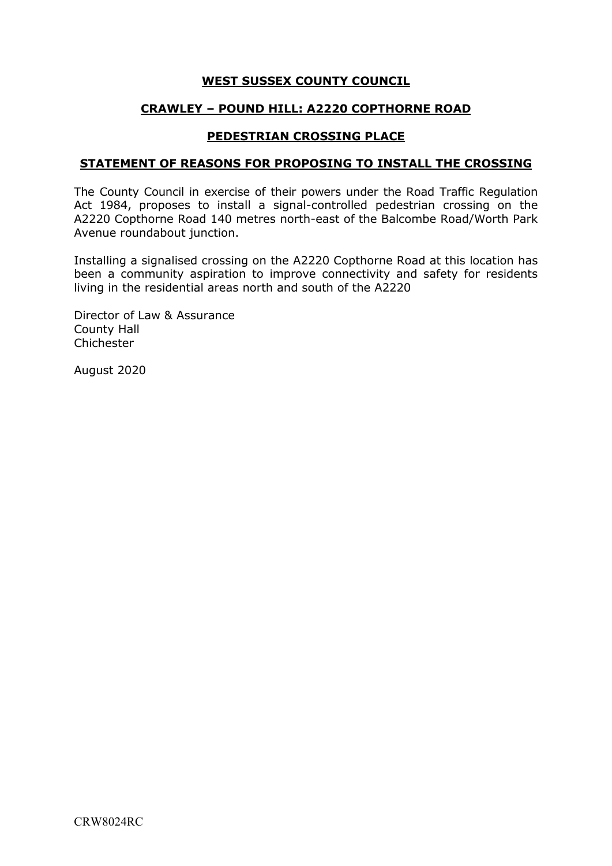### **WEST SUSSEX COUNTY COUNCIL**

### **CRAWLEY – POUND HILL: A2220 COPTHORNE ROAD**

#### **PEDESTRIAN CROSSING PLACE**

#### **STATEMENT OF REASONS FOR PROPOSING TO INSTALL THE CROSSING**

The County Council in exercise of their powers under the Road Traffic Regulation Act 1984, proposes to install a signal-controlled pedestrian crossing on the A2220 Copthorne Road 140 metres north-east of the Balcombe Road/Worth Park Avenue roundabout junction.

Installing a signalised crossing on the A2220 Copthorne Road at this location has been a community aspiration to improve connectivity and safety for residents living in the residential areas north and south of the A2220

Director of Law & Assurance County Hall Chichester

August 2020